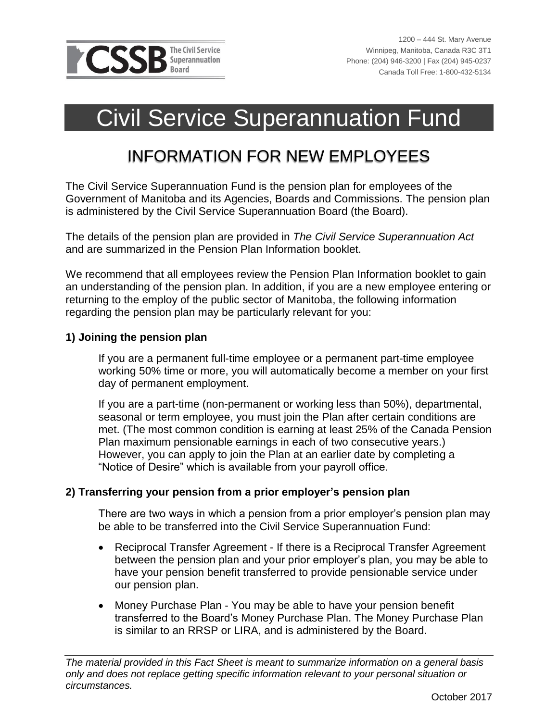

 $\overline{a}$ 

# Civil Service Superannuation Fund

## INFORMATION FOR NEW EMPLOYEES

The Civil Service Superannuation Fund is the pension plan for employees of the Government of Manitoba and its Agencies, Boards and Commissions. The pension plan is administered by the Civil Service Superannuation Board (the Board).

The details of the pension plan are provided in *The Civil Service Superannuation Act* and are summarized in the Pension Plan Information booklet.

We recommend that all employees review the Pension Plan Information booklet to gain an understanding of the pension plan. In addition, if you are a new employee entering or returning to the employ of the public sector of Manitoba, the following information regarding the pension plan may be particularly relevant for you:

### **1) Joining the pension plan**

If you are a permanent full-time employee or a permanent part-time employee working 50% time or more, you will automatically become a member on your first day of permanent employment.

If you are a part-time (non-permanent or working less than 50%), departmental, seasonal or term employee, you must join the Plan after certain conditions are met. (The most common condition is earning at least 25% of the Canada Pension Plan maximum pensionable earnings in each of two consecutive years.) However, you can apply to join the Plan at an earlier date by completing a "Notice of Desire" which is available from your payroll office.

### **2) Transferring your pension from a prior employer's pension plan**

There are two ways in which a pension from a prior employer's pension plan may be able to be transferred into the Civil Service Superannuation Fund:

- Reciprocal Transfer Agreement If there is a Reciprocal Transfer Agreement between the pension plan and your prior employer's plan, you may be able to have your pension benefit transferred to provide pensionable service under our pension plan.
- Money Purchase Plan You may be able to have your pension benefit transferred to the Board's Money Purchase Plan. The Money Purchase Plan is similar to an RRSP or LIRA, and is administered by the Board.